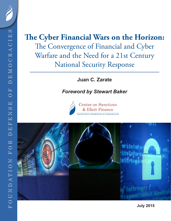# **The Cyber Financial Wars on the Horizon:** The Convergence of Financial and Cyber Warfare and the Need for a 21st Century National Security Response

**Juan C. Zarate**

### *Foreword by Stewart Baker*





**July 2015**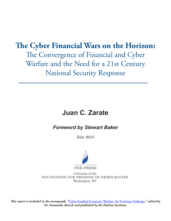# **The Cyber Financial Wars on the Horizon:**

The Convergence of Financial and Cyber Warfare and the Need for a 21st Century National Security Response

# **Juan C. Zarate**

*Foreword by Stewart Baker*

July 2015



A division of the FOUNDATION FOR DEFENSE OF DEMOCRACIES Washington, DC

*This report is included in the monograph, "*[Cyber-Enabled Economic Warfare: An Evolving Challenge](https://s3.amazonaws.com/media.hudson.org/files/publications/2015.08CyberEnabledEconomicWarfareAnEvolvingChallenge.pdf)*," edited by Dr. Samantha Ravich and published by the Hudson Institute.*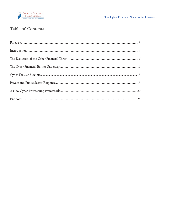

## **Table of Contents**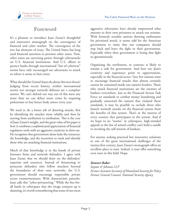

### **Foreword**

It's a pleasure to introduce Juan Zarate's thoughtful and innovative monograph on the convergence of financial and cyber warfare. The convergence of the two has elements of irony. The United States has long used financial sanctions to pressure other states. Now, other states are exercising power through cyberattacks on U.S. financial institutions. And U.S. efforts to protect banks through international "law of cyberwar" norms have only encouraged our adversaries to attack us where it seems to hurt most.

What should the United States do about this new threat? Judging from recent history, neither international norms nor stronger network defenses are a complete answer. We can't defend our way out of this mess any more than we can defeat street crime by requiring pedestrians to buy better body armor every year.

We need to do a better job of deterring attacks, first by identifying the attacker more reliably and then by moving from attribution to retribution. This is the core of Juan Zarate's insight, and the great value of his paper is how it combines a sophisticated appreciation of financial regulatory tools with an aggressive creativity in their use. He recognizes that government alone lacks the resources, the knowledge, and the incentives to track and identify those who are attacking financial institutions.

Much of that knowledge is in the hands of private forensics firms and network defenders. I agree with Juan Zarate that we should draw on the defenders' expertise and resources. Instead of threatening to prosecute defenders who follow attackers beyond the boundaries of their own networks, the U.S. government should encourage responsible private sector countermeasures. With characteristic panache, Juan calls this "cyber-privateering." While the free-forall battle in cyberspace that the image conjures up is daunting, it's worth remembering that some of our most aggressive adversaries have already empowered what amount to their own privateers to attack our systems. With formerly socialist nations showing enthusiasm for privatized attack, it seems odd for the American government to insist that our companies should step back and leave the fight to their government. Especially when their government is losing that fight so ignominiously.

Organizing the retribution, in contrast, is likely to remain a task for government. And here too Juan's creativity and experience point to opportunities, especially in the financial sector. Very few nations want to encourage financial attacks that almost certainly cannot be contained inside one nation's borders. Those who attack financial institutions are the enemies of bankers everywhere. Just as the Financial Action Task Force set standards to combat money laundering and gradually ostracized the nations that violated those standards, it may be possible to exclude those who launch network attacks on the financial system from the benefits of that system. That's in the interest of every country that participates in the system. And if we hope to set "norms" in cyberspace, high-minded appeals to the law of armed conflict can't hold a candle to invoking the self-interest of bankers.

For anyone seeking practical but innovative solutions to one of the great international challenges of the twenty-first century, Juan Zarate's monograph offers an excellent place to start. Indeed, it may offer something even rarer in this field: Hope.

#### *Stewart Baker*

*Steptoe & Johnson LLP Former Assistant Secretary of Homeland Security for Policy Former General Counsel, National Security Agency*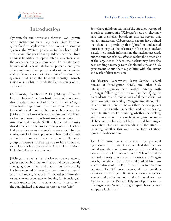

### **Introduction**

Cyberattacks and intrusions threaten U.S. private sector institutions on a daily basis. From low-level cyber fraud to sophisticated intrusions into sensitive systems, the Western private sector has been under direct assault for years from myriad cyber actors—from criminal fraudsters to sophisticated state actors. Over the years, these attacks have cost the private sector billions of dollars of intellectual property and years of research and development and cast doubt on the ability of companies to secure customers' data and their systems. And now, the financial industry—namely major Western banks—finds itself at the center of this cyber storm.

On Thursday, October 2, 2014, JPMorgan Chase & Co., the largest American bank by assets, announced that a cyberattack it had detected in mid-August 2014 had compromised the accounts of 76 million households and seven million small businesses. The JPMorgan attack—which began in June and is believed to have originated from Russia—went unnoticed for two months, despite the \$250 million in cybersecurity that the bank expected to spend by year's end. Hackers had gained access to the bank's servers containing the names, email addresses, phone numbers, and addresses of both current and former customers. The same group of overseas hackers appears to have attempted to infiltrate at least twelve other financial institutions, including Fidelity Investments.<sup>1</sup>

JPMorgan maintains that the hackers were unable to gather detailed information that would be particularly damaging to consumers and that no fraudulent activity has been reported. Passwords, account numbers, social security numbers, dates of birth, and other information valuable to any cyber attacker looking for financial gain remain unperturbed. In a statement to its customers, the bank insisted that customer money was "safe."2

Some have rightly noted that if the attackers were good enough to compromise JPMorgan's network, they may have left themselves backdoors into its servers that remain undetected. Cybersecurity experts have opined that there is a possibility that "ghost" or undetected intrusions may still be of concern.3 It remains unclear exactly how much information the hackers accessed, but the number of those affected makes the breach one of the largest ever. Indeed, the hackers may have also been sending a message to the bank, industry, and U.S. government about their capabilities with the extent and reach of their intrusion.

The Treasury Department, Secret Service, Federal Bureau of Investigation (FBI), and other U.S. intelligence agencies have worked directly with JPMorgan following the intrusion, but identifying the exact identities and motivations of these hackers has been slow, grinding work. JPMorgan's size, its complex IT environment, and numerous third-party suppliers make it particularly vulnerable and an appealing target to attackers. Determining whether the hacking group was after notoriety or financial gain—or more likely some combination of both—could have major implications for our understanding of the attack including whether this was a new form of statesponsored cyber warfare.

The U.S. government understood the potential significance of this attack and watched the forensics unfold over the summer—concerned this could be a new stealth attack from a state actor. When briefed by national security officials on the ongoing JPMorgan breach, President Obama reportedly asked his team whether this could be Putin's retaliation for Western sanctions. The U.S. government could not provide a definitive answer.4 Joel Brenner, a former inspector general and senior counsel of the National Security Agency, wrote that Russia's likely use of proxies in the JPMorgan case "is what the gray space between war and peace looks like."5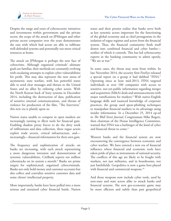

Despite the range and years of cybersecurity initiatives and investments within government and the private sector, the scope of the attack on JPMorgan and other private sector companies over the years demonstrates the ease with which bad actors are able to infiltrate well-defended systems and potentially our most critical resources at home.

The attack on JPMorgan is perhaps the new face of cybercrime. Although organized criminals' ultimate goals are familiar, their methods are constantly evolving with escalating attempts to exploit cyber vulnerabilities for profit. This may also represent the new arena of asymmetric state warfare, with less powerful states able to send clear messages and threats to the United States and its allies by enlisting cyber actors. With the North Korean hack of Sony systems in December 2014, including the destruction of data, publication of sensitive internal communications, and threats of violence for production of the film, "The Interview," this new era is plainly upon us.

Nation states unable to compete in open markets are increasingly turning to illicit tools for financial gain. Enabling shadow proxy forces to do the dirty work of infiltrations and data collection, these rogue actors exploit trade secrets, critical infrastructure, and increasingly—financial information for their own gain.

The frequency and sophistication of attacks on banks are increasing, with each attack representing a more dangerous intrusion and demonstration of systemic vulnerabilities. CitiBank reports ten million cyberattacks on its system a month.6 Banks are prime targets for sophisticated, organized cybercriminals. Banks not only hold money and customer accounts but also collect and centralize sensitive customer data and some clients' intellectual property.

More importantly, banks have been pulled into a more serious and sustained cyber financial battle. Nation states and their proxies realize that banks serve both as key systemic actors important for the functioning of the global economy and as chief protagonists in the isolation of rogue regimes and actors from the financial system. Thus, the financial community finds itself drawn into combined financial and cyber battles neither of which it controls. This has led cybersecurity experts in the banking community to admit openly, "We are at war."7

In some cases, the threat may stem from within. In late November 2014, the security firm FireEye released a special report on a group it had dubbed "FIN4." Operating since at least mid-2013, FIN4 targeted individuals at over 100 companies with access to sensitive, not-yet-public information regarding merger and acquisition (M&A) deals and announcements with major ramifications for markets.8 With native-English language skills and nuanced knowledge of corporate practices, the group used spear-phishing techniques to manipulate financial markets to its advantage using insider information. In a December 25, 2014 op-ed in *The Wall Street Journal*, Congressman Mike Rogers, then chairman of the House Intelligence Committee, warned that FIN4 was a harbinger of the kind of cyber and financial threat to come.<sup>9</sup>

Western banks and the financial system are now encountering the convergence between economic and cyber warfare. We have entered a new era of financial influence where financial and economic tools have taken pride of place as instruments of national security. The conflicts of this age are likely to be fought with markets, not just militaries, and in boardrooms, not just battlefields. Geopolitics is now a game best played with financial and commercial weapons.<sup>10</sup>

And those weapons now include cyber tools, used by non-state and state actors alike to attack banks and financial systems. The new geo-economic game may be more efficient and subtle than past geopolitical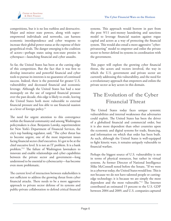

competitions, but it is no less ruthless and destructive. Major and minor state powers, along with superempowered individuals and networks, can harness economic interdependence and cyber weapons to increase their global power status at the expense of their geopolitical rivals. The danger emerging is the coalition of actors—perhaps states using non-state proxies in cyberspace—launching financial and cyber assaults.

So far, the United States has been at the cutting edge of this competition. But the fact that it was first to develop innovative and powerful financial and cyber tools to pursue its interests is no guarantee of continued success. Indeed, there is the potential for greater U.S. vulnerability and decreased financial and economic leverage. Although the United States has had a near monopoly on the use of targeted financial pressure over the past decade, this edge is likely to erode, leaving the United States both more vulnerable to external financial pressure and less able to use financial suasion as a lever of foreign policy.<sup>11</sup>

The need for urgent attention to this convergence within the financial community and among Washington policymakers is clear. Benjamin Lawsky, superintendent for New York's Department of Financial Services, the city's top banking regulator, said, "The cyber threat has to become urgent, one of the most important issues facing financial sector chief executives. It's got to be at the chief executive level. It is not an IT problem. It is a bank problem."12 The failure of Washington lawmakers to innovate and enable relationships and cyber capabilities between the private sector and government—long understood to be essential to cybersecurity—has become even more problematic.

The current level of interaction between stakeholders is not sufficient to address the growing threat from cyber financial attacks. There needs to be a more aggressive approach to private sector defense of its systems and public-private collaboration to defend critical financial systems. This approach would borrow in part from the post 9/11 anti-money laundering and sanctions model to leverage financial suasion against rogue capital and actors as a way of protecting the financial system. This would also entail a more aggressive "cyberprivateering" model to empower and enlist the private sector to better defend its systems in coordination with the government.

This paper will explore the growing cyber financial threat, the actors and vectors involved, the way in which the U.S. government and private sector are currently addressing this vulnerability, and the need for a revolutionary approach that empowers and enlists the private sector as key actors in this domain.

## **The Evolution of the Cyber Financial Threat**

The United States today faces unique systemic vulnerabilities and internal weaknesses that adversaries could exploit. The United States has been the driver of a globalized financial and commercial order, but it is also more dependent than other countries upon the economic and digital systems for trade, financing, and information on which that order has been built. As such, although the United States is well-equipped to fight kinetic wars, it remains uniquely vulnerable to financial warfare.

Perhaps the biggest source of U.S. vulnerability is not in terms of physical resources, but rather in virtual systems. As former Director of National Intelligence Mike McConnell noted before the Senate, "If we were in a cyberwar today, the United States would lose. This is not because we do not have talented people or cuttingedge technology; it is because we are simply the most dependent and the most vulnerable."13 The Internet contributed an estimated 15 percent to the U.S. GDP between 2004 and 2009, and U.S. companies captured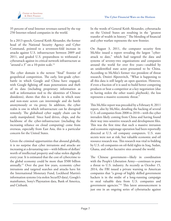

35 percent of total Internet revenues earned by the top 250 Internet-related companies in the world.

In a 2013 speech, General Keith Alexander, the former head of the National Security Agency and Cyber Command, pointed to a seventeen-fold increase in attacks against U.S. infrastructure between 2009 and 2011, and graded U.S. preparedness to withstand a cyberattack against its critical network infrastructure as "around a  $3$ " on a 10-point scale.<sup>14</sup>

The cyber domain is the newest "final" frontier of geopolitical competition. The early, low-grade cyberbattle in which Google and China have engaged, with Google fighting off mass penetrations and theft of its data (including proprietary information as well as information tied to the identities of Chinese dissidents), shows that this is a realm in which state and non-state actors can intermingle and do battle anonymously or via proxy. In addition, the cyber realm is one in which infrastructure can be disrupted remotely. The globalized cyber supply chain can be easily manipulated. Since hard drives, chips, and the backbone of the cyber-infrastructure (including the increasing reliance on cloud computing) come from overseas, especially from East Asia, this is a particular concern for the United States.

Given the criminal opportunities that abound globally, it is no surprise that cyber intrusions and attacks are increasing at a devastating rate—with billions of dollars' worth of intellectual property and value stolen digitally every year. It is estimated that the cost of cybercrime to the global economy could be more than \$500 billion annually.15 Over the past few years, economic cyber intrusions and targeted searches and attacks have hit the International Monetary Fund, Lockheed Martin's information systems (via stolen SecurID data), Google's mainframes, Sony's Playstation data, Bank of America, and Citibank.

In the words of General Keith Alexander, cyberattacks on the United States are resulting in the "greatest transfer of wealth in history." The blending of financial and cyber warfare represents the new frontier.

On August 3, 2011, the computer security firm McAfee issued a report revealing the largest "cyberattack to date," which had targeted the data and systems of seventy-two organizations and companies around the world for over five years—enabled by an unidentified state actor presumed to be China. According to McAfee's former vice president of threat research, Dmitri Alperovitch, "What is happening to all this data is still largely an open question. However, if even a fraction of it is used to build better competing products or beat a competitor at a key negotiation (due to having stolen the other team's playbook), the loss represents a massive economic threat."

This McAfee report was preceded by a February 8, 2011 report, also by McAfee, detailing the hacking of several U.S. oil companies from 2008 to 2010—with the cyber intruders likely coming from China and having found their way into sensitive research and development files. This was the first time that such a massive intrusion and economic espionage operation had been reportedly directed at U.S. oil company computers. U.S. state secrets were not at risk, but valuable economic and oil resource research was. This research was vital to bidding by U.S. oil companies on oil-field rights in Iraq, Sudan, Ghana, and other lucrative sites around the world.

The Chinese government—likely in coordination with the People's Liberation Army—continues to pose a threat to U.S. industry. As recently as October 15, 2014, the FBI issued a private warning to American companies that "a group of highly skilled government hackers is in the midst of a long-running campaign to steal valuable data from U.S. companies and government agencies."16 This latest announcement is just one in an ongoing series of cyberattacks against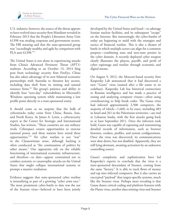

U.S. industry; however, the source of the threat appears to have evolved since security firm Mandiant revealed in February 2013 that the People's Liberation Army Unit 61398 was stealing corporate and government secrets. The FBI warning said that the state-sponsored group was "exceedingly stealthy and agile by comparison with PLA unit 61398."17

The United States is not alone in experiencing attacks from China's Advanced Persistent Threat (APT1) malware. According to an October 13, 2014 blog post from technology security firm FireEye, China has also taken advantage of its new bilateral economic partnerships with Australia to threaten key sectors, including data theft from its mining and natural resource firms.<sup>18</sup> The group's patience and ability to identify four "zero-day" vulnerabilities in Microsoft's Windows operating system while maintaining a low profile point directly to a state-sponsored entity.

It should come as no surprise that the bulk of cyberattacks today come from China, Russia, Iran, and North Korea. As James A. Lewis, a cybersecurity expert at the Center for Strategic and International Studies, has written, "These countries are our military rivals. Cyberspace creates opportunities to exercise national power, and these nations have seized these opportunities."19 Yet cyber warfare is not "war" in the Clausewitzian sense, although hacking is often conducted as "the continuation of politics by other means." Our opponents rely on the reliable functioning of international economic infrastructure, and therefore—to date—appear constrained not to conduct systemic or catastrophic attacks on the United States that might collapse international systems or prompt a massive retaliation.

Evidence suggests that state-sponsored cyber warfare is intensifying as part of a growing "cyber arms race." The most prominent cyber-battle to date was the use of the Stuxnet virus—believed to have been jointly developed by the United States and Israel—to sabotage Iranian nuclear facilities, and its subsequent "escape" on the Internet. But interestingly, the cyber-battles of today are beginning to meld with the strategies and tactics of financial warfare. This is also a theater of battle in which multiple actors can align for a common purpose—combining state and non-state proxies in the cyber domain. A recently deployed cyber weapon clearly illustrates the players, payoffs, and perils of cyber espionage and warfare through economic and digital means.

On August 9, 2012, the Moscow-based security firm Kaspersky Lab announced that it had discovered a new "Gauss" virus (named after a file name in its codebase). Kaspersky Lab has historical connections to Russian intelligence and has made a practice of outing and analyzing computer viruses—often using crowdsourcing to help break codes. The Gauss virus had infected approximately 2,500 computers, the majority of which—1,660, to be exact, including 483 in Israel and 261 in the Palestinian territories—are tied to Lebanese banks, with the first attacks going back to at least September 2011. Once the infection took hold, Gauss was capable of capturing and transmitting detailed records of information, such as browser histories, cookies, profiles, and system configurations. Once the virus was discovered, its communications were shut down, but not disabled. Apparently, they are still lying dormant, awaiting activation by an unknown controlling source.

Gauss's complexity and sophistication have led Kaspersky's experts to conclude that the virus is a state-sponsored descendant of Stuxnet, coming from the same "factory." It is able to track flows of money and tap into infected computers. But it also carries an encrypted "payload" that targets specific systems, much like the Stuxnet virus. Perhaps most revealing is that Gauss shares critical coding and platform features with the Flame virus, another data-mining virus and Stuxnet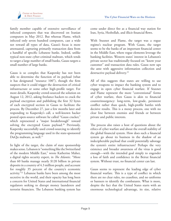

family member capable of extensive surveillance of infected computers that was discovered on Iranian computers in May 2012. But whereas Flame, which infected only seven hundred computers, cast a wide net toward all types of data, Gauss's focus is more attenuated, capturing primarily transaction data from a handful of specific Lebanese banks. Indeed, unlike typical non-state cyber-criminal malware, which tends to target a large number of small banks, Gauss targets a small number of large banks.

Gauss is so complex that Kaspersky has not been able to determine the function of its payload (what it has designated "resource 100"), though the firm suspects that it could trigger the destruction of critical infrastructure or some other high-profile target. For more details, Kaspersky crowd-sourced the solution on August 12, 2012, asking freelance hackers to crack the payload encryption and publishing the first 32 bytes of each encrypted section in Gauss to facilitate the process. By December 27, just a few months later and responding to Kaspersky's call, a well-known hacker posted open-source software he called "Gauss cracker," which represented a "major breakthrough" toward solving the encrypted Gauss payload.<sup>20</sup> Previously, Kaspersky successfully used crowd-sourcing to identify the programming language used in the state-sponsored DuQu malware, as well.<sup>21</sup>

In light of the target, the claim of state sponsorship makes sense. Lebanon is "something like the Switzerland of the modern Middle East," wrote Katherine Maher, a digital rights security expert, in *The Atlantic*. "More than 60 banks manage nearly \$120 billion in private deposits in a country of 4.3 million people, and account for roughly 35 percent of the country's economic activity."<sup>22</sup> Lebanese banks have been among the most secretive in the world, and their opacity has long been a concern for United States and international financial regulators seeking to disrupt money launderers and terrorist financiers. The Lebanese banking system has

come under direct fire as a financial way station for Iran, Syria, Hezbollah, and illicit financial flows.

With Stuxnet and Flame, the target was a rogue regime's nuclear program. With Gauss, the target seems to be the banks of an important financial center in the Middle East, where rogue elements leverage the banking facilities. Western states' interest in Lebanon's private sector has traditionally focused on "know your customer" and transaction data rules. Gauss now ups the ante with aggressive information collection and destructive payload delivery.<sup>23</sup>

All of this suggests that states are willing to use cyber weapons to impact the banking system and to engage in open cyber financial warfare. If Stuxnet and Flame represent the more "conventional" forms of cyber warfare, then Gauss is akin to financial counterinsurgency: long-term, low-grade, persistent conflict rather than quick, high-profile battles with decisive results. This is a messy process, one with no clear line between enemies and friends or between private and public interests.

The process also raises a host of questions about the ethics of cyber warfare and about the overall stability of the global financial system. How does such a financial system go about its business in the shadow of an indecipherable payload that could potentially sabotage the system's entire infrastructure? Perhaps the very existence and broader awareness of the virus is good enough—with the intended goal simply to engender a loss of faith and confidence in the Beirut financial system. Without trust, no financial center can last.

Gauss seems to represent the leading edge of cyber financial warfare. This is a type of conflict in which there are no clear rules, no ceasefires, and no uniforms or banners to identify the combatants. What is more, despite the fact that the United States starts with an enormous technological advantage, its size, relative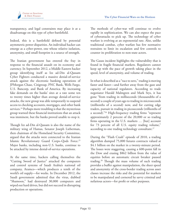

transparency, and legal constraints may place it at a disadvantage on this type of cyber-battlefield.

Indeed, this is a battlefield defined by potential asymmetric power disparities. An individual hacker can emerge as a cyber-power, one whose relative isolation, anonymity, and small footprint is a source of strength.

The Iranian government has entered the fray in response to the financial assault on its economy and currency. In September 2012, a Middle Eastern hacker group identifying itself as Izz ad-Din al-Qassam Cyber Fighters conducted a massive denial-of-service attack against the electronic banking operations of JPMorgan Chase, Citigroup, PNC Bank, Wells Fargo, U.S. Bancorp, and Bank of America. By increasing fake demands on the banks' sites at a rate some ten to twenty times higher than average denial-of-service attacks, the new group was able temporarily to suspend access to checking accounts, mortgages, and other bank services.<sup>24</sup> Perhaps more troubling is that the mysterious group warned these financial institutions that an attack was imminent, but the banks proved unable to stop it.

Though Izz ad-Din al-Qassam is also the name of the military wing of Hamas, Senator Joseph Lieberman, then chairman of the Homeland Security Committee, argued that the attacks were connected to the Iranian Islamic Revolutionary Guard Corps–Qods Force.25 Major banks, including non-U.S. banks, continue to be attacked by intense denial-of-service operations.

At the same time, hackers calling themselves the "Cutting Sword of Justice" attacked the computers and control systems of Saudi Arabia's national oil company, Aramco—which produces a tenth of the world's oil supply—for weeks. In December 2012, the Saudi government admitted that the virus, dubbed "Shamoon," had destroyed 30,000 computers and wiped out hard drives, but did not succeed in disrupting production or operations.

The methods of cyber-war will continue to evolve rapidly in sophistication. We can also expect the pace of cyberattacks to pick up. The technology of cyber warfare is evolving at an exponential rate. Also, unlike traditional combat, cyber warfare has few normative restraints to limit its escalation and few controls to counter its proliferation to non-state actors.

The Gauss incident highlights the vulnerability that is found in fragile financial markets. Regulators cannot keep up with the pace of growth taking place in the speed, level of anonymity, and volume of trading.

In what is described as a "race to zero," trading is moving faster and faster—and further away from the gaze and capacity of national regulators. According to trade negotiator Harald Malmgren and Mark Stys, it has gone "from trading in milliseconds (thousandths of a second) a couple of years ago to trading in microseconds (millionths of a second) now, and for cutting edge traders, pursuit in trading in picoseconds (trillionths of a second)."26 High-frequency trading firms "represent approximately 2 percent of the 20,000 or so trading firms operating in the U.S. markets … [but] account for 73 percent of all U.S. equity trading volume," according to one trading technology consultant.<sup>27</sup>

During the "Flash Crash" episode of 2010, a trading algorithm dumped 75,000 futures contracts valued at \$4.1 billion on the market in a twenty-minute period. The losses were staggering, causing a 600-point fall in the Dow and erasing \$862 billion from the value of equities before an automatic circuit breaker paused trading.28 Though the mass volume of such trading provides a buffer against manipulation, the sheer speed and anonymity of the cross-border trading across asset classes increase the risks and the potential for markets to be manipulated and cornered by savvy criminal and nefarious actors—for profit or other purposes.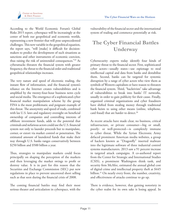

According to the World Economic Forum's Global Risks 2015 report, cyberspace will be increasingly at the center of both our geopolitical and economic worlds, representing a new frontier that will pose unprecedented challenges. This new variable in the geopolitical equation, the report says, "will [make] it difficult for decisionmakers to predict the development of such situations as sanctions and other instruments of economic coercion, thus raising the risk of unintended consequences."29 As cyberattacks threaten the financial system with greater frequency, the threat to the financial order and traditional geopolitical relationships increases.

The very nature and speed of electronic trading, the instant flow of information, and the financial system's reliance on the Internet creates vulnerabilities and is amplified by the twenty-four-hour business news cycle and social media. The emergence of a sophisticated cyber financial market manipulation scheme by the group FIN4 is the most problematic and poignant example of this threat. The anonymity and speed of trade, combined with lax U.S. laws and regulatory oversight on beneficial ownership of companies and controlling interests of offshore investment funds, adds to the potential that criminals and nefarious actors could use the U.S. financial system not only to launder proceeds but to manipulate, corner, or extort via market control or penetration. The estimated amount of laundered funds that make their way through U.S. banks ranges conservatively between \$250 billion and \$500 billion a year.

Thus, strategies to manipulate markets could focus principally on shaping the perception of the markets and then leveraging the market swings to profit or destroy value. It is in part for this reason that the Securities and Exchange Commission (SEC) put new regulations in place to prevent uncovered short selling such as that seen during the financial crisis of 2008.

The coming financial battles may find their most serious theater and articulation in cyberspace, with the vulnerability of the financial sector and the international system of trading and commerce potentially at risk.

# **The Cyber Financial Battles Underway**

Cybersecurity experts today identify four kinds of primary threat to the financial sector. First, sophisticated cyber actors—usually states—use espionage to steal intellectual capital and data from banks and destabilize them. Second, banks can be targeted for systemic disruption by a range of cyber actors who view them as symbols of Western capitalism or have reason to threaten the financial system. Third, "hacktivists" take advantage of vulnerabilities to break into banks' IT networks, usually in order to gain publicity for their cause. Finally, organized criminal organizations and cyber fraudsters have shifted from stealing money through traditional bank heists to using other means (online, telephone, card fraud) that are harder to detect.<sup>30</sup>

As recent attacks have made clear, no business, critical infrastructure, or private consumer—big or small, poorly- or well-protected—is completely immune to cyber threat. While the Syrian Electronic Army defaced prominent American media websites, a group of hackers known as "Dragonfly" inserted malware into the legitimate software of three industrial control systems manufacturers. 2013 saw a 91 percent increase in targeted attack campaigns. A co-authored report from the Center for Strategic and International Studies (CSIS), a prominent Washington think tank, and security firm McAfee, estimated the annual global cost of digital crime and intellectual property theft at \$445 billion.<sup>31</sup> On nearly every front, the number, creativity, and effectiveness of attacks continue to go up.

There is evidence, however, that gaining notoriety in the cyber realm for its own sake is losing appeal. In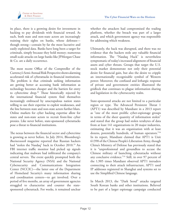

its place, there is a growing desire for investment in hacking to pay dividends with financial reward. As such, both state and non-state actors are increasingly training their sights on banks, whose defenses though strong—contain by far the most lucrative and easily exploited data. Banks have long been a target for criminals, simply because they hold money; numerous small-scale attacks on large banks like JPMorgan Chase & Co. are a daily occurrence.

The most recent Office of the Comptroller of the Currency's Semi-Annual Risk Perspective shows alarming accelerated risk of cyberattacks in financial institutions. The problem is that criminals seeking information are getting better at accessing bank information as technology becomes cheaper and the barriers for entry to cybercrime drop.32 Those historically rejected by the international financial system find themselves increasingly embraced by unscrupulous nation states willing to use their expertise to exploit weaknesses, and the line between state and non-state actors further blurs. Online markets for cyber hacking expertise allow for states and non-state actors to recruit front-line cyber proxies. Like never before, state-sponsored cyberattacks pose a threat to financial institutions.

The nexus between the financial sector and cybercrime is growing as never before. In July 2014, Bloomberg's *Businessweek* magazine reported that Russian hackers had "stolen the Nasdaq" back in October 2010.<sup>33</sup> An FBI internet traffic monitor had picked up signals indicating that malware had infiltrated the company's central servers. The event quickly prompted both the National Security Agency (NSA) and the National Cybersecurity and Communications Integration Center (NCCIC)—the latter one of the Department of Homeland Security's many information sharing and coordination centers—to get involved. Over a period of five months, an array of government agencies struggled to characterize and counter the statesponsored cyberattack. For weeks, it remained unclear

whether the attackers had compromised the trading platform, whether the breach was part of a larger attack, and which government agency was responsible for addressing which weakness.

Ultimately, the hack was disrupted, and there was no evidence that the hackers stole any valuable financial information. The "Nasdaq Hack" is nevertheless symptomatic of today's increased alignment of financial assets and cyber threats. Groups that target the U.S. stock market demonstrate not only their potential desire for financial gain, but also the desire to cripple an internationally recognizable symbol of Western power. Moreover, the confused and lethargic response of private and government entities illustrated the gridlock that continues to plague information sharing and legislation in the cybersecurity realm.

State-sponsored attacks are not limited to a particular region or type. The Advanced Persistent Threat 1 (APT1) was described by Mandiant in a 2013 report as "one of the most prolific cyber-espionage groups in terms of the sheer quantity of information stolen" and stated that the group had stolen terabytes of data from at least 141 organizations in 20 major industries, estimating that it was an organization with at least dozens, potentially hundreds, of human operators."34 In its report, Mandiant claimed that APT1 is Unit 61398 of the Chinese People's Liberation Army, though China's Ministry of Defense has previously stated that it is "unprofessional and groundless to accuse the Chinese military of launching cyberattacks without any conclusive evidence."35 Still, in over 97 percent of the 1,905 times Mandiant observed APT1 intruders connecting to their attack infrastructure, APT1 used IP addresses registered in Shanghai and systems set to use the Simplified Chinese language.

In March 2013, the "Dark Seoul" attacks targeted South Korean banks and other institutions. Believed to be part of a larger espionage campaign conducted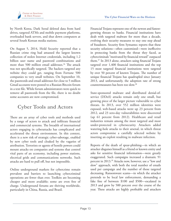

by North Korea, Dark Seoul deleted data from hard drives, targeted ATMs and mobile payment platforms, overloaded bank servers, and shut down computers at several South Korean media stations.

On August 5, 2014, Hold Security reported that a Russian crime ring had amassed the largest known collection of stolen Internet credentials, including 1.2 billion user name and password combinations and more than 500 million email addresses.<sup>36</sup> The attack was not specifically targeted. The hackers targeted any website they could get, ranging from Fortune 500 companies to very small websites. On September 10, the passwords and email addresses for close to 5 million Gmail accounts were posted to a Russian Bitcoin forum in a text file. While forum administrators were quick to remove all passwords from the file, there is no doubt some accounts are now compromised.

### **Cyber Tools and Actors**

There are an array of cyber tools and methods used by a range of actors to attack and infiltrate financial and commercial systems. The breadth of international actors engaging in cyberattacks has complicated and accelerated the threat environment. In this context, there is a new risk of strategic cyber-sabotage, enabled by new cyber tools and cloaked by the vagaries of attribution. Terrorists or agents of hostile powers could mount attacks on companies and systems that control vital parts of an economy, including power stations, electrical grids and communications networks. Such attacks are hard to pull off, but not impossible.

Online underground markets for cybercrime remain prevalent and barriers to launching cybercriminal operations are fewer than ever. Toolkits are becoming cheaper and more available; some are even free of charge. Underground forums are thriving worldwide, particularly in China, Russia, and Brazil.

Financial Trojans represent one of the newest and fastestgrowing threats to banks. Financial institutions have dealt with targeted malware for more than a decade, evolving their security measures to stay one step ahead of fraudsters. Security firm Symantec reports that these security solutions—often customized—were ineffective in protecting banks from the threat they faced, as cybercriminals "motivated by financial reward" outpaced them.37 In 2013 alone, attackers using financial Trojans targeted over 1,400 financial institutions and the top 15 most targeted financial institutions were targeted by over 50 percent of known Trojans. The number of unique financial Trojans has quadrupled since January 2013, and unfortunately, the adoption rate of strong countermeasures has been too slow.38

State-sponsored malware and distributed denial-ofservice (DDoS) attacks remain only one small, but growing piece of the larger picture vulnerable to cyber threats. In 2013, over 552 million identities were exposed, web-based attacks went up 23 percent from 2012, and 23 zero-day vulnerabilities were discovered (up 61 percent from 2012). Healthcare and retail industries remain among the most targeted and most under-protected in cybersecurity. Attackers added watering-hole attacks to their arsenal, in which threat actors compromise a carefully selected website by inserting an exploit resulting in malware infection.

Reports of the death of spear-phishing—in which an attacker disguises himself as a friend or known entity and asks for sensitive financial information—were greatly exaggerated. Such campaigns increased a dramatic 91 percent in 2013.39 Attacks now, however, use a "low and slow" approach, with both the total number of emails used per campaign and the number of those targeted decreasing. Ransomware scams—in which the attacker pretends to be local law enforcement, demanding a fake fine of between \$100 and \$500—escalated in 2013 and grew by 500 percent over the course of the year. These attacks are highly profitable and attackers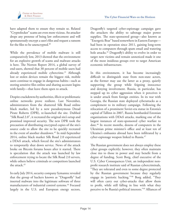

have adapted them to ensure they remain so. Related "Cryptolocker" scams are even more vicious. An attacker drops any pretense of being law enforcement and will spontaneously encrypt a user's files and request a ransom for the files to be unencrypted.<sup>40</sup>

While the prevalence of mobile malware is still comparatively low, 2013 showed that the environment for an explosive growth of scams and malware attacks is here. The Norton Report 2014, a global survey of end-users, showed that 38 percent of mobile users had already experienced mobile cybercrime.<sup>41</sup> Although lost or stolen devices remain the biggest risk, mobile users continue to engage in dangerous habits—such as storing sensitive files online and sharing account logins with family—that leave them open to attack.

Despite crackdowns by authorities, illicit or problematic online networks prove resilient. Last November, administrators from the shuttered Silk Road online black market, led by a new pseudonymous Dread Pirate Roberts (DPR), re-launched the site. Dubbed "Silk Road 2.0", it recreated the original site's setup and promised improved security. The new DPR took the precaution of distributing encrypted copies of the site's source code to allow the site to be quickly recreated in the event of another shutdown.<sup>42</sup> In mid-September 2014, online black market Silk Road 2.0 experienced a DDoS attack, which forced the site's administrators to temporarily shut down service. News of the attack broke on Bitcoin forums hours after it started. There is speculation that the attack was launched by law enforcement trying to locate the Silk Road 2.0 servers, while others believe criminals or competitors launched the attack  $43$ 

In early July 2014, security company Symantec revealed that the group of hackers known as "Dragonfly" had inserted malware into the legitimate software of three manufacturers of industrial control systems.<sup>44</sup> Focused largely in the U.S. and European energy sectors,

Dragonfly's targeted cyber-espionage campaign gave the attackers the ability to sabotage major power supplies. The state-sponsored group—also known as "Energetic Bear" based somewhere in Eastern Europe had been in operation since 2011, gaining long-term access to computers through spam email and watering hole attacks.<sup>45</sup> Dragonfly's ability to evolve in order to target new victims and remain unnoticed made it one of the most insidious groups ever to target American economic infrastructure.

In this environment, it has become increasingly difficult to distinguish state from non-state actors, as the former may use the latter as a proxy, quietly supporting the group while feigning innocence and denying involvement. Russia, in particular, has stepped up its cyber aggression when it perceives it is under attack from foreign entities. In its war with Georgia, the Russian state deployed cyberattacks as a complement to its military campaign. Following the relocation of a prominent Soviet-era statue in Estonia's capital of Tallinn in 2007, Russia bombarded Estonian organizations with DDoS attacks, marking one of the largest instances of state-sponsored cyber warfare to date.46 In recent months, dozens of computers in the Ukrainian prime minister's office and at least ten of Ukraine's embassies abroad have been infiltrated by a cyber-espionage weapon linked to Russia.<sup>47</sup>

The Russian government does not always employ these cyber groups explicitly; however, they often maintain close ties to those in power and may benefit from a degree of funding. Scott Borg, chief executive of the U.S. Cyber Consequences Unit, an independent nonprofit research institute said of Russian cybercriminals, "They are tolerated and even to some degree protected by the Russian government because they regularly engage in 'patriotic hacking.'"48 Borg added, "They will often carry out cyber-attacks that allow them to profit, while still falling in line with what they perceive to be Russia's political interests."49 Alliances of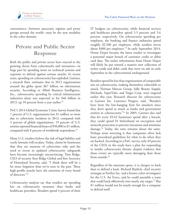

convenience—between autocratic regimes and proxy groups around the world—may be the new modality in the cyber domain.

# **Private and Public Sector Response**

Both the public and private sector have reacted to the growing threat from cyberattacks and intrusions—in large part by spending more on technical systems and expertise to defend against serious attacks. In recent years, spending on cybersecurity has exploded. Gartner, a research firm, estimates that in 2013 organizations around the globe spent \$67 billion on information security. According to Allied Business Intelligence, Inc., cybersecurity spending by critical infrastructure industries alone was expected to hit \$46 billion in 2013, up 10 percent from a year earlier. $50$ 

PwC's 2014 Global Economic Crime Survey found that 7 percent of U.S. organizations lost \$1 million or more due to cybercrime incidents in 2013, compared with 3 percent of global organizations. 19 percent of U.S. entities reported financial losses of \$50,000 to \$1 million, compared with 8 percent of worldwide respondents.<sup>51</sup>

Many U.S. retailers believe the risk of legal liability and costly lawsuits will escalate. Today, claims by businesses that they are unaware of cybercrime risks and the need to invest in updated cybersecurity safeguards have become increasingly unconvincing. Tom Ridge, CEO of security firm Ridge Global and first Secretary of Homeland Security, said, "I think there will be a lot more litigation than we've seen in the past. These high-profile attacks have the attention of every board of directors."52

Cybersecurity analysts say that retailers are spending less on cybersecurity measures than banks and healthcare providers. Retailers spend 4 percent of their IT budgets on cybersecurity, while financial services and healthcare providers spend 5.5 percent and 5.6 percent, respectively. On cybersecurity spending per employee, the banking and finance industries spend roughly \$2,500 per employee, while retailers invest about \$400 per employee.<sup>53</sup> In early September 2014, Home Depot became the latest retailer to investigate a potential major breach of customer credit or debit card data. The stolen information from Home Depot will likely be put toward a massive new collection of stolen credit and debit cards that went on sale in early September in the cybercriminal underground.

Retailers spend far less than organizations of comparable size on cybersecurity, making themselves vulnerable to attack. Neiman Marcus Group, Sally Beauty Supply, Michaels, SuperValu, and Target Corp. were targeted earlier this year. Research director for cybersecurity at Gartner Inc. Lawrence Pingree, said, "Retailers have been the low-hanging fruit for attackers since they don't spend as much as banks and government entities in cybersecurity."54 In 2005, Gartner also said that for every \$5.62 businesses spend after a breach, they could spend \$1 beforehand on encryption and network protection to prevent intrusions and minimize damage.55 Today, the ratio remains about the same. Perhaps most worrying is that companies often lack basic procedural guidelines for what to do when they are hacked. According to a PwC survey, only 49 percent of the CEOs in the study have a plan for responding to insider cybersecurity threats, despite evidence that those events are typically more damaging than those from outside.<sup>56</sup>

Regardless of the amounts spent, it is cheaper to hack than to defend a hack. Richard Bejtlich, chief security strategist at FireEye Inc. and a former cyber investigator for the U.S. Air Force, said he could assemble a team that could hack offensively into nearly any target.<sup>57</sup> But \$1 million would not be nearly enough for a company to defend itself.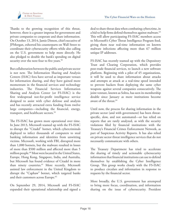

Thanks to the growing recognition of this threat, however, there is a greater impetus for government and private companies to cooperate and share information. On October 13, 2014, Jamie Dimon, chief executive of JPMorgan, exhorted his counterparts on Wall Street to coordinate their cybersecurity efforts while also calling on the U.S. government to help more directly. He also pledged to double the bank's spending on digital security over the next four to five years.<sup>58</sup>

But collaboration between the public and private sector is not new. The Information Sharing and Analysis Centers (ISAC) fora have served as important venues for information sharing, and they have gained more momentum in the financial services and technology industries. The Financial Services Information Sharing and Analysis Center (or FS-ISAC) is the first widespread not-for-profit intelligence service designed to assist with cyber defense and analysis and has recently attracted extra funding from twelve large companies—including the financial, energy, transport, and healthcare sectors.59

The FS-ISAC has grown more operational over time. In June 2013, Microsoft teamed up with the FS-ISAC to disrupt the "Citadel" botnet, which cybercriminals deployed to infect thousands of computers to steal banking information and identities from unwitting victims. Microsoft, working with FBI, disrupted more than 1,000 botnets, but the malware resulted in losses of more than \$500 million and affected more than 5 million people.60 Most were located in the United States, Europe, Hong Kong, Singapore, India, and Australia, but Microsoft has found evidence of Citadel in more than ninety countries.<sup>61</sup> More recently, Microsoft assisted law enforcement in the United Kingdom to disrupt the "Caphaw" botnet, which targeted banks and their customers across Europe.<sup>62</sup>

On September 29, 2014, Microsoft and FS-ISAC expanded their operational relationship and signed a deal to share threat data when combating cybercrime, in a bid to help firms defend themselves against malware.<sup>63</sup> This will allow participating FS-ISAC members access to Microsoft's Cyber Threat Intelligence Program feed, giving them near real-time information on known malware infections affecting more than 67 million unique IP addresses.

FS-ISAC has recently teamed up with the Depository Trust and Clearing Corporation, which provides post-trade financial services, to launch a new software platform. Beginning with a pilot of 45 organizations, it will be used to share information about attacks and attempts at attack at a real-time speed intended to prevent hackers from deploying the same cyber weapons against several companies consecutively. The joint venture, known as Soltra, has seen its membership double since January as more institutions become aware of the threat.64

Until now, the process for sharing information in the private sector (and with government) has been threatspecific, slow, and not automated—or has relied on reports that are rarely analyzed, as with the security violations filed by financial institutions with the Treasury's Financial Crimes Enforcement Network, as part of Suspicious Activity Reports. It has also relied on private sector threat intelligence services that do not necessarily communicate with others.

The Treasury Department has tried to accelerate the sharing of timely and actionable cybersecurity information that financial institutions can use to defend themselves by establishing the Cyber Intelligence Group. This group works closely with the FS-ISAC to produce circulars and information in response to requests by the financial sector.

More broadly, the U.S. government has attempted to bring more focus, coordination, and information sharing on the issue of cybersecurity. President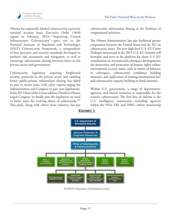

Obama has repeatedly labeled cybersecurity a priority national security issue. Executive Order 13636 signed in February 2013—"Improving Critical Infrastructure Cybersecurity"—gave rise to the National Institute of Standards and Technology's (NIST) Cybersecurity Framework, a compendium of best practices and security standards developed to perform risk assessment and mitigation, as well as encourage information sharing between those in the private sector and government.

Cybersecurity legislation requiring heightened security protocols in the private sector and enabling better public-private information sharing has failed to pass in recent years, with cyber experts urging the Administration and Congress to pass new legislations. In his 2015 State of the Union address, President Obama urged Congress "to finally pass the legislation we need to better meet the evolving threat of cyberattacks."65 This push, along with others from industry, has put

cybersecurity information sharing at the forefront of congressional priorities.

The Obama Administration has also facilitated greater cooperation between the United States and the EU on cybersecurity issues. The new high-level U.S.-EU Cyber Dialogue announced at the 2014 U.S.-EU Summit will formalize and serve as the platform for closer U.S.-EU coordination on international cyberspace developments; the promotion and protection of human rights online; international security issues, such as norms of behavior in cyberspace, cybersecurity confidence building measures, and application of existing international law; and cybersecurity capacity building in third countries.

Within U.S. government, a range of departments, agencies, and shared initiatives is responsible for the nation's cybersecurity. The first line of defense is the U.S. intelligence community—including agencies within the NSA, FBI, and DHS—where monitoring



**Exhibit 1**

SOURCE: Department of Homeland Security.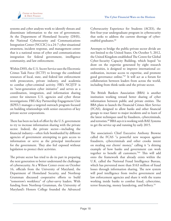systems and cyber analysts work to identify threats and disseminate information to the rest of government. At the Department of Homeland Security (DHS), the National Cybersecurity and Communications Integration Center (NCCIC) is a 24-7 cyber situational awareness, incident response, and management center that is a national nexus of cyber and communications integration for federal government, intelligence community, and law enforcement.

Within DHS, the U.S. Secret Service uses the Electronic Crimes Task Force (ECTF) to leverage the combined resources of local, state, and federal law enforcement with prosecutors, private industry, and academia to combat cyber-criminal activity. FBI's NCIJTF is its "next-generation cyber initiative" and serves as a coordination, integration, and information sharing center for nineteen U.S. agencies and cyber threat investigations. FBI's Key Partnership Engagement Unit (KPEU) manages a targeted outreach program focused on building relationships with senior executives of key private sector corporations.

There has been no lack of effort by the U.S. government to try to increase information sharing with the private sector. Indeed, the private sector—including the financial industry—often feels bombarded by different agencies of government attempting to gain access to information or serve as the principal interlocutor for the government. They also feel exposed without legislation to protect their activities.

The private sector has tried to do its part in preparing the next generation to better understand the challenges of cybersecurity. At a Wilson Center event on October 16, officials from the University of Maryland, the Department of Homeland Security, and Northrop Grumman discussed cooperative efforts to build "tomorrow's workforce" of cyber-savvy leaders. With funding from Northrop Grumman, the University of Maryland's Honors College founded the Advanced

Cybersecurity Experience for Students (ACES), the first four-year undergraduate program in cybersecurity that seeks to address the current shortage of cyberenabled graduates.<sup>66</sup>

Attempts to bridge the public-private sector divide are not limited to the United States. On October 5, 2012, the United Kingdom established The Centre for Global Cyber-Security Capacity Building, which hoped "to draw on the expertise generated by eight research universities, is designed to improve international coordination, increase access to expertise, and promote good governance online."67 It will act as a forum for collaboration between leaders from across the world, including from think tanks and the private sector.

The British Bankers Association (BBA) is another institution working toward better sharing of cyber information between public and private entities. The BBA plans to launch the Financial Crimes Alert Service (FCAS), designed to allow banks and other financial groups to react faster to major incidents and to learn of the latest techniques used by fraudsters, cybercriminals, and terrorists.<sup>68</sup> BBA says it is working with BAE Systems to get the service up and running by early 2015.

The association's Chief Executive Anthony Browne called the FCAS "a powerful new weapon against fraudsters, cybercriminals and other crooks intent on stealing our clients' money," calling it "a shining example of how banks and government can work together to benefit all customers."69 This will add onto the framework that already exists within the U.K. called the National Fraud Intelligence Bureau, which has prevented more than \$163 million of fraud losses through information sharing. The new system will pool intelligence from twelve government and law enforcement agencies and share it with the teams working inside banks to combat fraud, cybercrime, terror financing, money laundering, and bribery.<sup>70</sup>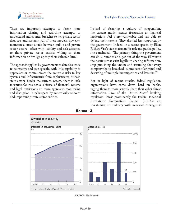

These are important attempts to foster more information sharing and real-time attempts to understand and counter breaches to key private sector data sets and systems. All of these models, however, maintain a strict divide between public and private sector actors—often with liability and risk attached to those private sector entities willing to share information or divulge openly their vulnerabilities.

The approach applied by governments to date also tends to be reactive and case-specific, with little capability to appreciate or communicate the systemic risks to key systems and infrastructure from sophisticated or even state actors. Under the current system, there is little incentive for pro-active defense of financial systems and legal restrictions on more aggressive monitoring and disruption in cyberspace by systemically relevant and important private sector entities.

Instead of fostering a culture of cooperation, the current model creates frustration as financial institutions feel more vulnerable and less able to defend their systems. They also feel less supported by the government. Indeed, in a recent speech by Ellen Richey, Visa's vice chairman for risk and public policy, she concluded, "The primary thing the government can do is number one, get out of the way. Eliminate the barriers that exist legally to sharing information, stop punishing the victim and assuming that every company that is breached is some sort of criminal and deserving of multiple investigations and lawsuits."71

But in light of recent attacks, federal regulation organizations have come down hard on banks, urging them to more actively share their cyber threat information. Five of the United States' banking regulators—most prominently the Federal Financial Institutions Examination Council (FFIEC)—are threatening the industry with increased oversight if



**Exhibit 2**

SOURCE: *The Economist*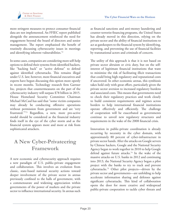

more stringent measures to protect consumer financial data are not implemented. An FFIEC report published alongside the announcement reinforced the need for engagement beyond the board of directors and senior management. The report emphasized the benefit of routinely discussing cybersecurity issues in meetings and identifying inherent vulnerabilities.<sup>72</sup>

In some cases, companies are considering more self-help options to defend their systems from identified hackers, like "hacking back" or "active defense" to defend against identified cyberattacks. This remains illegal under U.S. law; however, more financial executives and experts have begun discussing this option more openly in recent months. Technology research firm Gartner Inc. projects that countermeasures on the part of the cybersecurity industry will surpass \$78 billion in 2015. House Homeland Security Committee Chairman Michael McCaul has said that "some victim companies may already be conducting offensive operations without permission from government and are 'very frustrated.'"73 Regardless, a new, more pro-active model should be considered as the financial industry finds itself in the eye of the cyber storm and as the financial system appears more and more at risk from sophisticated attackers.

## **A New Cyber-Privateering Framework**

A new economic and cybersecurity approach requires a new paradigm of U.S. public-private engagement and collaboration. This involves an evolution from classic, state-based national security actions toward deeper involvement of the private sector in arenas previously confined to the halls of government, with a commensurate and widening appreciation within governments of the power of markets and the private sector to influence international security. In arenas such as financial sanctions and anti-money laundering and counter-terrorist financing programs, the United States has already moved in this direction, relying on the private sector and the ability of financial institutions to act as gatekeepers to the financial system by identifying, reporting, and preventing the use of financial facilities by transnational actors and criminals of concern.

The utility of this approach is that it is not based on private sector altruism or civic duty, but on the selfinterest of legitimate financial institutions that want to minimize the risk of facilitating illicit transactions that could bring high regulatory and reputational costs if uncovered. In other economic arenas, this symbiosis takes hold only with great effort, particularly given the private sector aversion to increased regulatory burdens and associated costs. This means that governments need to check their regulatory practices and work closely to build consistent requirements and regimes across borders to help international financial institutions operate effectively and efficiently. The challenge of cooperation will be exacerbated as governments continue to unveil new regulatory structures and requirements in the wake of the 2008 financial crisis.

Innovation in public-private coordination is already occurring by necessity in the cyber domain, with approximately 80 percent of cyber-infrastructure in private sector hands. After the attacks on Google servers by Chinese hackers, Google and the National Security Agency began to work together in 2010 to help Google defend against future attacks.<sup>74</sup> In the wake of the massive attacks on U.S. banks in 2012 and continuing into 2013, the National Security Agency began a pilot project with the banks to try to track and prevent cyberattacks.75 Other pilot projects—driven by the private sector and governments—are unfolding to help accelerate information sharing and defenses against significant cyberattacks. This kind of collaboration opens the door for more creative and widespread public-private cooperation to tackle cyber threats and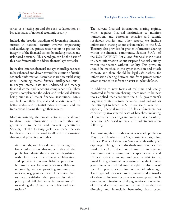

serves as a testing ground for such collaboration on broader issues of national economic security.

Indeed, the broader paradigm of leveraging financial suasion in national security involves empowering and catalyzing key private sector actors to protect the integrity of the financial system by making market and risk-based decisions. This paradigm can be the basis of this new framework to address financial cyberattacks.

In the first instance, financial and cyber intelligence need to be enhanced and driven toward the creation of useful, actionable information. Many banks are now establishing units—including internal financial intelligence units to analyze internal data and understand and manage financial crime and sanctions compliance risk. These systems complement the cyber and technical defenses being built in all major financial institutions. Banks can build on these financial and analytic systems to better understand potential cyber intrusions and the transactions flowing through their systems.

More importantly, the private sector must be allowed to share more information with each other and government to detect and prevent cyberattacks. Secretary of the Treasury Jack Lew made the case for clearer rules of the road to allow for information sharing and protection of rights:

As it stands, our laws do not do enough to foster information sharing and defend the public from digital threats. We need legislation with clear rules to encourage collaboration and provide important liability protection. It must be safe for companies to collaborate responsibly, without providing immunity for reckless, negligent or harmful behavior. And we need legislation that protects individual privacy and civil liberties, which are so essential to making the United States a free and open society.<sup>76</sup>

The current financial information sharing regime, which requires financial institutions to monitor transactions and customer behavior and submit suspicious activity and other reports (to include information sharing about cyberattacks) to the U.S. Treasury, also provides for greater information sharing within the financial community. Section 314(b) of the USA PATRIOT Act allows financial institutions to share information about suspect financial activity within their sector, without liability. This provision should be matched in the cyber intrusion and attack context, and there should be legal safe harbors for information sharing between and from private sector actors intended to inform or assist in cyber defense.

In addition to new forms of real-time and legally protected information sharing, there need to be new tools applied that accelerate the U.S. government's targeting of state actors, networks, and individuals that attempt to breach U.S. private sector systems especially financial systems. U.S. law enforcement has consistently investigated cases of breaches, including of organized crimes rings and hackers that successfully penetrate U.S.-based systems, with indictments often following.

The most significant indictment was made public on May 19, 2014, when the U.S. government charged five Chinese People's Liberation Army officials with cyber espionage. Though the individuals may never see the inside of a U.S. federal courthouse, the indictment was significant in laying out the specifics of official Chinese cyber espionage and gave weight to the broad U.S. government accusations that the Chinese government lies behind massive cyber infiltration of the U.S. private sector for commercial advantage. These types of cases need to be pursued and networks of cybercriminals—of whatever type—exposed. Such cases, in combination with the aggressive enforcement of financial criminal statutes against those that are directing and financially benefitting from cyber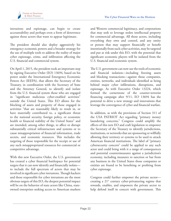

intrusions and espionage, can begin to create accountability and perhaps even a form of deterrence against those actors that want to appear legitimate.

The president should also deploy aggressively his emergency economic powers and a broader strategy for the use of multiple tools to address the reality of major cyber espionage, crime, and infiltration affecting the U.S. financial and commercial system.

On April 1, 2015, the president took an important step by signing Executive Order (EO) 13694, based on his power under the International Emergency Economic Powers Act (IEEPA), that allows the Secretary of the Treasury, in coordination with the Secretary of State and the Attorney General, to identify and isolate from the U.S. financial system those who are engaged in "significant malicious cyber-enabled activities" outside the United States. This EO allows for the blocking of assets and property of those engaged in activities "that are reasonably likely to result in, or have materially contributed to, a significant threat to the national security, foreign policy, or economic health or financial stability of the United States" and are intended, among other things, to affect or disrupt substantially critical infrastructure and systems or to cause misappropriation of financial information, trade secrets, and economic resources. This includes the targeting of those responsible for the receipt or use of any such misappropriated resources for commercial or competitive advantage.

With this new Executive Order, the U.S. government has created a cyber financial battlespace for potential targets that it can now identify and financially isolate to include the full spectrum of actors that may be involved in significant cyber intrusions. Though hackers and those responsible for cyber intrusions are the most obvious targets of this EO, the deepest potential impact will be on the behavior of state actors like China, stateowned enterprises seeking access to American markets

and Western commercial legitimacy, and corporations that may seek to leverage stolen intellectual property for commercial advantage. All those actors, including everything they own and control, and any entity or person that may support financially or benefit intentionally from such cyber activities, may be targeted and put at risk under this EO, with the potential that significant economic players will be isolated from the U.S. financial and economic system.

The U.S. government can now use the tools of economic and financial isolation—including freezing assets and blocking transactions—against those companies, entities, networks, and individuals identified as being behind major cyber infiltrations, disruptions, and espionage. As with Executive Order 13224, which formed the cornerstone of the counter-terrorist financing campaign after 9/11, EO 13694 has the potential to drive a new strategy and innovations that leverage the convergence of cyber and financial warfare.

In addition, as with the provisions of Section 311 of the USA PATRIOT Act regarding "primary money laundering concerns," Congress could amplify the effects of this new EO and craft legislation to empower the Secretary of the Treasury to identify jurisdictions, institutions, or networks that are sponsoring or willfully allowing their territory or systems to be used to attack American financial institutions. The label of "primary cybersecurity concern" could be applied to any such actor and could bring with it a range of consequences and potential countermeasures against a jurisdiction's economy, including measures to sanction or bar from any business in the United States those companies or entities are found to be benefiting or profiting from cyber espionage.

Congress could further empower the private sector creating a  $21^{st}$  century cyber-privateering regime that rewards, enables, and empowers the private sector to help defend itself in concert with government. This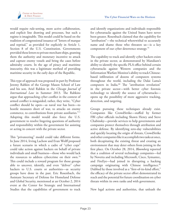

would require rule-setting, more active collaboration, and explicit line drawing and processes, but such a regime is imaginable. This model could be based on the tradition of congressional issuance of "letters of marque and reprisal," as provided for explicitly in Article 1, Section 8 of the U.S. Constitution. Governments provided these letters to private merchant ships, granting them the authority and monetary incentive to attack and capture enemy vessels and bring the cases before admiralty courts. In the age of piracy and maritime insecurity, this was a legitimate method of providing maritime security in the early days of the Republic.

This type of approach was proposed in part by Professor Jeremy Rabkin of the George Mason School of Law and his son, Ariel Rabkin in the *Chicago Journal of International Law* in Summer 2013. The Rabkins argue that approaching cyber conflict in the context of armed conflict is misguided; rather, they write, "Cyber conflict should be open—as naval war has been—to hostile measures short of war, to attacks on enemy commerce, to contributions from private auxiliaries."77 Adopting this model would also force the U.S. government to resolve lingering questions of authority and responsibility within the government for assisting or acting in concert with the private sector.

This "privateering" model could take different forms. In June 2014, Irving Lachow and Evan Wolff proposed a future scenario in which a cadre of "cyber cops" could take action against hackers on behalf of private individuals and small business—those who would lack the resources to address cybercrime on their own.<sup>78</sup> This could include a reward program for those groups able to uncover, identify, and even "deliver" cyber hackers to U.S. courts or authorities-as security groups have done in the past. Eric Rosenbach, the Assistant Secretary of Defense for Homeland Defense and Global Security, mentioned at an October 2, 2014 event at the Center for Strategic and International Studies that the capabilities of government to track

and identify organizations and individuals responsible for cyberattacks against the United States have never been greater. Rosenbach claimed that the capability for "attribution"—the technical wherewithal to accurately name and shame those who threaten us—is a key component of our cyber deterrence strategy.79

The capability to track and identify cyber hackers exists in the private sector, as demonstrated by Mandiant's ability to identify the specific PLA office behind certain cyberattacks against Western companies and the Information Warfare Monitor's ability to track Chinesebased infiltration of dozens of computers systems throughout the world, including the Dalai Lama's computers in India.<sup>80</sup> The "attribution revolution" in the private sector—with better cyber forensic technology to identify the source of cyberattacks opens up the possibility of more aggressive tracking, detection, and targeting.

Groups pursuing these techniques already exist. Companies like CrowdStrike—staffed by former FBI cyber officials including Shawn Henry and Steve Chabinsky—provide services to help governments and companies protect themselves through attribution and active defense. By identifying zero-day vulnerabilities and quickly locating the origin of threats, CrowdStrike and other companies like it accomplish two tasks at once, both decapitating the existing threat and creating an environment that may deter others from joining in the first place. On October 28, 2014, *Bloomberg* reported that a coalition of several technology companies—led by Novetta and including Microsoft, Cisco, Symantec, and FireEye—had joined in disrupting a hacking campaign originating with Chinese intelligence.<sup>81</sup> Dubbed by those involved as a "first-of-its-kind effort," the efficacy of the private sector effort demonstrated its reach and the potential for future coordination on cyber threats within its own ranks and with government.

New legal actions and authorities, that unleash the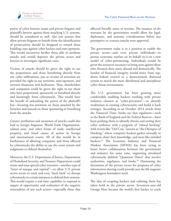

power of cyber forensic teams and private litigants and plaintiff's lawyers against those attacking U.S. systems, should be considered as well. *Qui tam* actions that allow private litigants to benefit from the identification of prosecutions should be designed to reward those building cases against cyber hackers and state-sponsors. This would incentivize further those able to attribute attacks and would deputize the private sector and lawyers to investigate significant cases.

Victims of attacks should be given the right to sue the perpetrators and those benefitting directly from any cyber infiltrations, just as victims of terrorism are provided the right to sue terrorists, state-sponsors, and terrorist financiers and facilitators. Thus, shareholders and companies could be given the right to sue those who have perpetrated, sponsored, or benefited directly and knowingly from cyberattacks. This would have the benefit of unleashing the power of the plaintiff's bar—focusing less attention on those attacked by the breaches and instead on those sponsoring or benefiting from the attacks.

Greater attribution and awareness of attacks could also lead to foreign litigation, World Trade Organizationrelated suits, and other forms of trade, intellectual property, and fraud causes of action in foreign and international courts. All of this would be in furtherance of allowing companies and those affected by cyberattacks the ability to use the court system and judgments to defend themselves.

Moreover, the U.S. Department of Justice, Department of Homeland Security, and Treasury Department could create and issue special cyber warrants—another type of "letter of marque and reprisal"—to allow U.S. private sector actors to track and even "hack back" or disrupt cyberattacks in certain instances to defend their systems. This would require a real-time capability to respond to targets of opportunity and evaluation of the negative externalities of any such action—especially those that

affected friendly states or systems. The issuance of the warrants by the government would allow for legal, diplomatic, and systemic considerations before any preemptive or counter-attacks were approved.

The government today is in a position to enable the private sector—and even private individuals—to pursue economic warfare on its behalf vis-à-vis a new model of cyber-privateering. Individuals would be given the resources necessary to bring suits against those who threaten their assets abroad and domestically. The burden of financial integrity would move from topdown federal control to a democratized, flattened system to match the more distributed and amorphous cyber threat environment.

The U.S. government has been growing more comfortable enabling hackers working with private industry—known as "cyber-privateers"—to identify weaknesses in existing cybersecurity and build it back stronger. According to an October 2014 article from the *Financial Times*, banks say that regulators—such as the Bank of England and the Federal Reserve—have been pushing them to identify threats and testing their cyber resilience with a program of "ethical hacking" with events like "Def Con," known as "the Olympics of Hacking," where computer hackers gather annually to compete, share their knowledge, and meet like-minded hackers.<sup>82</sup> The Securities Industry and Financial Markets Association (SIFMA) has been trying to foster better collaboration between the government and industry for some time, organizing simulated cyberattacks dubbed "Quantum Dawn" that involve authorities, regulators, and banks.<sup>83</sup> Harnessing the dynamism of the private sector for purposes of cyber information sharing could provide just the lift stagnant Washington lawmakers need.

The idea of coopting hackers and enlisting them has taken hold in the private sector. Seventeen-year-old George Hotz became the world's first hacker to crack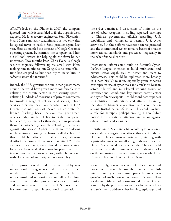

AT&T's lock on the iPhone in 2007, the company ignored him while it scrambled to fix the bugs his work exposed. He later reverse-engineered Sony Playstation 3, and Sony summarily sued him and settled only after he agreed never to hack a Sony product again. Last year, Hotz dismantled the defenses of Google Chrome's operating system. By contrast, the company paid him a \$150,000 reward for helping fix the flaws he had uncovered. Two months later, Chris Evans, a Google security engineer, followed up via email with Hotz, making him an offer to join Google's elite team of fulltime hackers paid to hunt security vulnerabilities in software across the Internet.<sup>84</sup>

Indeed, the U.S. government and other governments around the world have grown more comfortable with enlisting the private sector in the security space enlisting hundreds of thousands of private contractors to provide a range of defense- and security-related services over the past two decades. Former NSA General Counsel Stewart Baker—an advocate for limited "hacking back"—believes that government officials today are far likelier to enable companies burdened by cyberattacks than they are to prosecute them for considering actively defending themselves against adversaries.<sup>85</sup> Cyber experts are considering implementing a warning mechanism called a "beacon" that could be attached to stolen data, allowing sleuths to determine the origins of an attack.<sup>86</sup> In the cybersecurity context, there should be consideration for a new framework that allows for private actors to take on more of their own defense, within bounds and with clears lines of authority and responsibility.

This approach would need to be matched by new international arrangements and alliances that set standards of international conduct, principles of state control and responsibility, and allow for closer coordination to address problems of attack attribution and response coordination. The U.S. government has attempted to spur international cooperation in

the cyber domain and discussions of limits on the use of cyber weapons, including reported briefings to Chinese government officials regarding U.S. capabilities and willingness to restrain U.S. cyber activities. But these efforts have not been reciprocated and the international system remains bereft of broader international standards and processes—especially in the cyber financial context.

International efforts could build on Estonia's Cyber-Defense League, intended to build multilateral and private sector capabilities to detect and react to cyberattacks. This could be replicated more broadly in a new NATO mission, especially given concerns over repeated use of cyber tools and attacks by Russian actors. Bilateral and multilateral working groups or investigations—combining key private sector actors and cyber forensic experts—could coordinate responses to sophisticated infiltrations and attacks—assuming the idea of broader cooperation and coordination among trusted actors *ab initio*. This could include a role for Interpol, perhaps creating a new "silver notice" for international attention and action against cybercriminals and sponsors.

Even the United States and China could try to collaborate on specific investigations of attacks that affect both the U.S. and Chinese financial systems. By starting with a particular investigation affecting both countries, the United States could test whether the Chinese could be enlisted to address systemic concerns about attacks on the international financial system, upon which the Chinese rely as much as the United States.

More broadly, a new collection of relevant state and private actors could be assembled to help establish international cyber norms—in particular to address questions of attribution and response. This could allow for the establishment of norms around the use of cyber warrants by the private sector and development of laws and strictures to address cyber hacking, espionage, and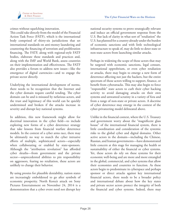

crimes without squelching innovation.

This could take directly from the model of the Financial Action Task Force (FATF), which is the international body comprised of thirty-six jurisdictions that set international standards on anti-money laundering and countering the financing of terrorism and proliferation financing. The FATF, along with regional-style FATF bodies, elaborate these standards and practices and, along with the IMF and World Bank, assess countries on their implementation and effectiveness. The FATF also provides a forum to address new issues—like the emergence of digital currencies—and to engage the private sector directly.

Underlying the international development of norms, there needs to be recognition that the Internet and the cyber domain require careful tending. The cyber domain can be and is misused by nefarious actors, and the trust and legitimacy of this world can be quickly undermined and broken if the attacks increase in severity and disrupt key national systems.

In addition, this new framework might allow for doctrinal innovation in the cyber field—to include exploring new forms of a cyber deterrence strategy that take lessons from financial warfare deterrence models. In the context of a cyber arms race, there may be ultimately no way to match the cyber intrusive efforts of multiple, sophisticated actors—especially when collaborating or enabled by state-sponsors. Although the "attribution revolution" has afforded cyber sleuths—from government and the private sector—unprecedented abilities to pin responsibility on aggressors, fearing no retaliation, these actors are unlikely to change their behavior.

By using proxies for plausible deniability, nation states are increasingly emboldened to go after symbols of economic prosperity. North Korea's attack on Sony Pictures Entertainment on November 24, 2014 is a demonstration that a cyber event need not disrupt key

national security systems to prove strategically relevant and induce an official government response from the U.S. But lack of clarity in what sort of "retaliation" the U.S. has planned for a country already under the burden of economic sanctions and with little technological infrastructure to speak of, may do little to deter state or non-state actors from launching similar attacks.

Perhaps in widening the scope of those actors that may be targeted with economic sanctions, legal censure, international opprobrium, or even cyber retaliation or attacks, there may begin to emerge a new form of deterrence affecting not just the hackers, but the entire spectrum of those actors willing to support, finance, or benefit from cyberattacks. This may also begin to force "responsible" state actors to curb their cyber hacking activity to avoid damaging attacks on their own systems and unwanted scrutiny in a variety of fora and from a range of non-state or private actors. A doctrine of cyber deterrence may emerge in the context of the cyber-privateering model delineated above.

Unlike in the financial context, where the U.S. Treasury and government worry about the "magnificent glass house" of the international financial system, there is little coordination and consideration of the systemic risks to the global cyber and digital domains. Other active actors in the domain—including the Chinese, Russian, and Iranian governments—have demonstrated little concern at this stage for managing the health or sustainability of either the financial or cyber systems. Yet, these actors do rely on these systems for their economic well-being and are more and more entangled in the global, commercial, and cyber systems that allow their economies and countries to function. As these actors begin to predominate in cyberspace and perhaps sponsor or direct attacks against key international financial actors, there needs to be a broader policy and international debate about how the key states and private sector actors protect the integrity of both the financial and cyber systems. Indeed, there may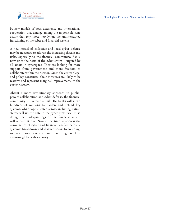

be new models of both deterrence and international cooperation that emerge among the responsible state actors that rely most heavily on the uninterrupted functioning of the cyber and financial systems.

A new model of collective and local cyber defense may be necessary to address the increasing threats and risks, especially to the financial community. Banks now sit at the heart of the cyber storm—targeted by all actors in cyberspace. They are looking for more support from government and more freedom to collaborate within their sector. Given the current legal and policy constructs, these measures are likely to be reactive and represent marginal improvements to the current system.

Absent a more revolutionary approach to publicprivate collaboration and cyber defense, the financial community will remain at risk. The banks will spend hundreds of millions to harden and defend key systems, while sophisticated actors, including nation states, will up the ante in the cyber arms race. In so doing, the underpinnings of the financial system will remain at risk. Now is the time to address the convergence of cyber and financial warfare before a systemic breakdown and disaster occur. In so doing, we may innovate a new and more enduring model for ensuring global cybersecurity.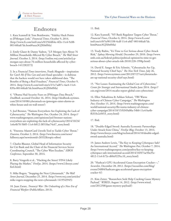

### **Endnotes**

1. Kara Scannell & Tom Braithwaite, "Fidelity Hack Points to JPMorgan Link," *Financial Times*, October 9, 2014. (http://www.ft.com/intl/cms/s/0/2564f64e-4f2e-11e4-9c88- 00144feab7de.html#axzz3GJX0s0Ma)

2. Emily Glazer & Danny Yadron, "J.P. Morgan Says About 76 Million Households Affected By Cyber Breach," *The Wall Street Journal*, October 3, 2014. (http://online.wsj.com/articles/j-pmorgan-says-about-76-million-households-affected-by-cyberbreach-1412283372)

3. In a *Financial Times* interviews, Frank Abagnale—inspiration for *Catch Me If You Can* and anti-fraud specialist—is dubious that the hackers would not have taken additional data. "The Benefits of Being a Real Fraudster," *Financial Times*, October 9, 2014. (http://www.ft.com/intl/cms/s/2/1e7ad07c-4ae4-11e4- 839a-00144feab7de.html#axzz3GJX0s0Ma)

4. "Obama Had Security Fears on JPMorgan Data Breach," *DealBook*, accessed October 16, 2014. (http://dealbook.nytimes. com/2014/10/08/cyberattack-on-jpmorgan-raises-alarms-atwhite-house-and-on-wall-street/)

5. Joel Brenner, "Nations Everywhere Are Exploiting the Lack of Cybersecurity," *The Washington Post*, October 24, 2014. (http:// www.washingtonpost.com/opinions/joel-brenner-nationseverywhere-are-exploiting-the-lack-of-cybersecurity/2014/10/24/ 1e6e4b70-5b85-11e4-b812-38518ae74c67\_story.html)

6. "Finextra: MasterCard Unveils Tool to Tackle Cyber Threat," *Finextra*, October 2, 2014. (http://ww.finextra.com/news/ fullstory.aspx?newsitemid=26532&topic=sibos)

7. Charles Blauner, Global Head of Information Security for Citi Bank and the Chair of the Financial Services Sector Coordinating Council, "The Cyber Wars Escalate," *SIBOS Conference*, September 30, 2014.

8. Barry Vengerik et al., "Hacking the Street? FIN4 Likely Playing the Market," *FireEye*, 2014. (https://www2.fireeye.com/ fin4.html)

9. Mike Rogers, "Stopping the Next Cyberassault," *The Wall Street Journal*, December 25, 2014. (http://www.wsj.com/articles/ mike-rogers-stopping-the-next-cyberassault-1419543945)

10. Juan Zarate, *Treasury's War: The Unleashing of a New Era of Financial Warfare* (PublicAffairs, 2013).

11. Ibid.

12. Kara Scannell, "NY Bank Regulator Targets Cyber Threat," *Financial Times*, October 6, 2014. (http://www.ft.com/ intl/cms/s/0/5a981338-4cdf-11e4-a0d7-00144feab7de. html#axzz3GJX0s0Ma)

13. Trudy Rubin, "It's Time to Get Serious about Cyber Attack Risk," *Sydney Morning Herald*, December 29, 2010. (http://www. smh.com.au/federal-politics/political-opinion/its-time-to-getserious-about-cyber-attack-risk-20101228-1998p.html)

14. David E. Sanger & Eric Schmitt, "Cyberattacks Are Up, National Security Chief Says," *The New York Times*, July 26, 2012. (http://www.nytimes.com/2012/07/27/us/cyberattacksare-up-national-security-chief-says.html)

15. "Net Losses: Esatimating the Global Cost of Cybercrime," *Center for Strategic and International Studies* June 2014. (http:// csis.org/event/2014-mcafee-report-global-cost-cybercrime)

16. Ellen Nakashima & Ashkan Soltani, "FBI Warns Industry of Chinese Cyber Campaign," *The Washington Post*, October 15, 2014. (http://www.washingtonpost.com/ world/national-security/fbi-warns-industry-of-chinesecyber-campaign/2014/10/15/0349a00a-54b0-11e4-ba4bf6333e2c0453\_story.html)

17. Ibid.

18. "Double-Edged Sword: Australia Economic Partnerships Under Attack from China," *FireEye Blog*, October 13, 2014. (http://www.fireeye.com/blog/technical/2014/10/double-edgedsword-australia.html)

19. James Andrew Lewis, "The Key to Keeping Cyberspace Safe? An International Accord," *The Washington Post*, October 7, 2014. (http://www.washingtonpost.com/postlive/key-to-keepingcyberspace-safe-international-accord/2014/10/07/ae50a35e-4812-11e4-b72e-d60a9229cc10\_story.html)

20. "Hashcat's GPU-Accelerated Gauss Encryption Cracker—," *Securelist*, December 28, 2012. (https://securelist.com/blog/ events/34884/hashcats-gpu-accelerated-gauss-encryptioncracker-4/)

21. Kim Zetter, "Researchers Seek Help Cracking Gauss Mystery Payload," *WIRED*, August 14, 2012. (http://www.wired. com/2012/08/gauss-mystery-payload/)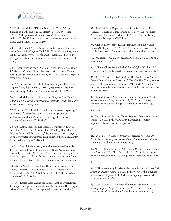

22. Katherine Maher, "Did the Bounds of Cyber War Just Expand to Banks and Neutral States?" *The Atlantic*, August 17, 2012. (http://www.theatlantic.com/international/ archive/2012/08/did-the-bounds-of-cyber-war-just-expand-tobanks-and-neutral-states/261230/)

23. David Nordell, "Is the New 'Gauss' Malware a Counterterror Finance Intelligence Tool?" *The Terror Finance Blog*, August 12 2012. (http://www.terrorfinanceblog.com/2012/08/is-thenew-gauss-malware-a-counter-terror-finance-intelligence-tool. html)

24. "Deconstructing the Al-Qassam Cyber Fighters Assault on US Banks," *Recorded Future*, January 2, 2013. (https://www. recordedfuture.com/deconstructing-the-al-qassam-cyber-fightersassault-on-us-banks)

25. E. Scott Reckard, "Banks Fail to Repel Cyber Threat," *Los Angeles Times*, September 27, 2012. (http://articles.latimes. com/2012/sep/27/business/la-fi-bank-attacks-20120927)

26. Harald Malmgren and Mark Stys, *Computerized Global Trading 24/6: a Roller Coaster Ride Ahead?: An Article from: The International Economy*, n.d.

27. Rob Lati, "The Real Story of Trading Software Espionage," *Wall Street & Technology*, July 10, 2009. (http://www. wallstreetandtech.com/trading-technology/the-real-story-oftrading-software-espio/218401501)

28. U.S. Commodity Futures Trading Commission & U.S. Securities & Exchange Commission, "Findings Regarding the Market Events of May 6, 2010," September 30, 2010, page 13. (http://www.cftc.gov/ucm/groups/public/@otherif/documents/ ifdocs/staff-findings050610.pdf)

29. "2.2 Global Risks Arising from the Accelerated Interplay Between Geopolitics and Economics," *World Economic Forum*, accessed January 30, 2015. (http://reports.weforum.org/globalrisks-2015/part-2-risks-in-focus/2-2-global-risks-arising-fromthe-accelerated-interplay-between-geopolitics-and-economics/)

30. Martin Arnold, "Banks Face Rising Threat from Cyber Crime," *Financial Times*, October 6, 2014. (http://www. ft.com/intl/cms/s/0/5fd20f60-4d67-11e4-8f75-00144feab7de. html#axzz3FOFcGxgh)

31. "Net Losses: Esatimating the Global Cost of Cybercrime," *Center for Strategic and International Studies* June 2014. (http:// csis.org/event/2014-mcafee-report-global-cost-cybercrime)

32. New York State Department of Financial Services, Press Release, "Governor Cuomo Announces New Cyber Security Assessments For Banks," May 6, 2014. (http://www.dfs.ny.gov/ about/press2014/pr1405061.htm)

33. Michael Riley, "How Russian Hackers Stole the Nasdaq," *BusinessWeek*, July 17, 2014. (http://www.businessweek.com/ articles/2014-07-17/how-russian-hackers-stole-the-nasdaq)

34. "Mandiant," *Mandiant*, accessed October 28, 2014. (http:// www.mandiant.com)

35. "US and China Accuse Each Other of Cyber Warfare," *RT*, February 19, 2013. (http://rt.com/usa/cyber-china-war-unit-604)

36. Nicole Perlroth & David Gelles, "Russian Hackers Amass Over a Billion Internet Passwords," *The New York Times*, August 5, 2014. (http://www.nytimes.com/2014/08/06/technology/ russian-gang-said-to-amass-more-than-a-billion-stolen-internetcredentials.html)

37. Candid Wueest, "The State of Financial Trojans in 2013," *Security Response Blog*, December 17, 2013. (http://www. symantec.com/connect/blogs/state-financial-trojans-2013)

38. Ibid.

39. "2015 Internet Security Threat Report," *Symantec*, accessed October 20, 2014. (http://www.symantec.com/security\_ response/publications/threatreport.jsp)

40. Ibid.

41. "2013 Norton Report,"Symantec, accessed October 20, 2014. (http://www.symantec.com/about/news/resources/press\_ kits/detail.jsp?pkid=norton-report-2013)

42. Nermin Hajdarbegovic, "Silk Road 2.0 Hit by 'Sophisticated' DDoS Attack," *CoinDesk*, September 15, 2014. (http://www. coindesk.com/silk-road-2-0-shrugs-sophisticated-ddos-attack/)

43. Ibid.

44. "FBI Investigating Russian Cyber Attacks on US Banks," *The American Interest,* August 28, 2014. (http://www.the-americaninterest.com/blog/2014/08/28/fbi-investigating-russian-cyberattacks-on-us-banks/)

45. Candid Wueest, "The State of Financial Trojans in 2013," *Security Response Blog*, December 17, 2013. (http://www. symantec.com/connect/blogs/state-financial-trojans-2013)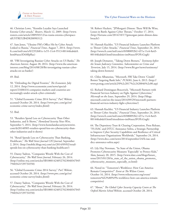

46. Christian Lowe, "Kremlin Loyalist Says Launched Estonia Cyber-attack," *Reuters*, March 12, 2009. (http://www. reuters.com/article/2009/03/12/us-russia-estonia-cyberspaceidUSTRE52B4D820090312)

47. Sam Jones, "Ukraine PM's Office Hit by Cyber Attack Linked to Russia," *Financial Times*, August 7, 2014. (http://www. ft.com/intl/cms/s/0/2352681e-1e55-11e4-9513-00144feabdc0. html#axzz3DtMfpRac)

48. "FBI Investigating Russian Cyber Attacks on US Banks," *The American Interest,* August 28, 2014. (http://www.the-americaninterest.com/blog/2014/08/28/fbi-investigating-russian-cyberattacks-on-us-banks/)

49. Ibid.

50. "Defending the Digital Frontier," *The Economist*, July 12, 2014. (http://www.economist.com/news/specialreport/21606416-companies-markets-and-countries-areincreasingly-under-attack-cyber-criminals)

51. "Global Economic Crime 2014 Survey," *PwC Website*, accessed October 20, 2014. (http://www.pwc.com/gx/en/ economic-crime-survey/index.jhtml)

52. Ibid.

53. "Retailers Spend Less on Cybersecurity Than Other Industries, and It Shows," *Homeland Security News Wire*, September 5, 2014. (http://www.homelandsecuritynewswire. com/dr20140905-retailers-spend-less-on-cybersecurity-thanother-industries-and-it-shows)

54. "Retail Spends Less on Cybersecurity Than Banking, Healthcare," *The Wall Street Journal CIO Journal*, September 2, 2014. (http://mobile.blogs.wsj.com/cio/2014/09/02/retailspends-less-on-cybersecurity-than-banking-healthcare/)

55. Danny Yadron, "Companies Wrestle With the Cost of Cybersecurity," *The Wall Street Journal*, February 26, 2014. (http://online.wsj.com/articles/SB100014240527023048347045 79403421539734550)

56. "Global Economic Crime 2014 Survey," *PwC Website*, accessed October 20, 2014. (http://www.pwc.com/gx/en/ economic-crime-survey/index.jhtml)

57. Danny Yadron, "Companies Wrestle With the Cost of Cybersecurity," *The Wall Street Journal*, February 26, 2014. (http://online.wsj.com/articles/SB100014240527023048347045 79403421539734550)

58. Robert Hackett, "JPMorgan's Dimon: There Will Be Wins, Losses in Battle Against Cyber Threats," October 17, 2014. (http://fortune.com/2014/10/17/jpmorgan-jamie-dimon-databreach/)

59. Hannah Kuchler, "US Financial Industry Launches Platform to Thwart Cyber Attacks," *Financial Times*, September 24, 2014. (http://www.ft.com/intl/cms/s/0/080092b2-437a-11e4-8a43- 00144feabdc0.html?siteedition=intl#axzz3FOFcGxgh)

60. Joseph Demarest, "Taking Down Botnets," *Testimony before the Senate Judiciary Committee, Subcommittee on Crime and Terrorism,* July 15, 2014. (http://www.fbi.gov/news/testimony/ taking-down-botnets)

61. Chloe Albanesius, "Microsoft, FBI Take Down 'Citadel' Botnet Targeting Bank Info," *PCMAG*, June 6, 2013. (http:// www.pcmag.com/article2/0%2c2817%2c2420046%2c00.asp)

62. Richard Domingues Boscovich, "Microsoft Partners with Financial Services Industry on Fight Against Cybercrime," *Microsoft on the Issues*, September 29, 2014. (http://blogs. microsoft.com/on-the-issues/2014/09/29/microsoft-partnersfinancial-services-industry-fight-cybercrime/)

63. Hannah Kuchler, "US Financial Industry Launches Platform to Thwart Cyber Attacks," *Financial Times*, September 24, 2014. (http://www.ft.com/intl/cms/s/0/080092b2-437a-11e4-8a43- 00144feabdc0.html?siteedition=intl#axzz3FOFcGxgh)

64. The Depository Trust & Clearing Corporation, Press Release, "FS-ISAC and DTCC Announce Soltra, a Strategic Partnership to Improve Cyber Security Capabilities and Resilience of Critical Infrastructure Organizations Worldwide," September 24, 2014. (http://www.dtcc.com/news/2014/september/24/fs-isac-anddtcc-announce-soltra.aspx)

65. Lily Hay Newman, "In State of the Union, Obama Promotes Cybersecurity Measures 'Especially' to Protect Kids," *Slate,* January 20, 2015. (http://www.slate.com/blogs/future\_ tense/2015/01/20/in state of the union obama promotes cybersecurity\_measures\_especially\_to.html)

66. Noted in: "Tomorrow's Workforce: How Can America Remain Competitive?" *Event at The Wilson Center,*  October 16, 2014. (http://www.wilsoncenter.org/event/ tomorrow%E2%80%99s-workforce-how-can-america-remaincompetitive)

67. "About," *The Global Cyber Security Capacity Centre at The Oxford Martin School Website*, accessed October 28, 2014.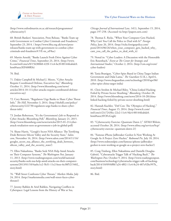

(http://www.oxfordmartin.ox.ac.uk/research/programmes/ cybersecurity/)

68. British Bankers' Association, Press Release, "Banks Team up with Government to Combat Cyber Criminals and Fraudsters," September 23, 2014. ( https://www.bba.org.uk/news/pressreleases/banks-team-up-with-government-to-combat-cybercriminals-and-fraudsters/#.VE-nx\_nF8uc)

69. Martin Arnold, "Banks Launch Fresh Drive Against Cyber Crime," *Financial Times*, September 23, 2014. (http://www. ft.com/intl/cms/s/0/15630060-433f-11e4-be3f-00144feabdc0. html#axzz3EF608RSt)

70. Ibid.

71. Dakin Campbell & Michael J. Moore, "Cyber Attacks Require Coordinated Defense, Executives Say," *Bloomberg*, October 11, 2014. (http://www.bloomberg.com/news/ articles/2014-10-11/cyber-attacks-require-coordinated-defenseexecutives-say)

72. Cory Bennett, "Regulators Urge Banks to Share Cyber Threat Info," *The Hill*, November 3, 2014. (http://thehill.com/policy/ cybersecurity/222730-regulators-urge-banks-to-share-cyberthreat-info)

73. Jordan Robertson, "It's the Government's Job to Respond to Cyber Attacks: Bloomberg Poll," *Bloomberg*, January 21, 2015. (http://www.bloomberg.com/news/articles/2015-01-21/cyberattack-retaliation-seen-as-government-s-job-in-global-poll)

74. Shane Harris, "Google's Secret NSA Alliance: The Terrifying Deals Between Silicon Valley and the Security State," *Salon. com*, November 16, 2014. (http://www.salon.com/2014/11/16/ googles\_secret\_nsa\_alliance\_the\_terrifying\_deals\_between\_ silicon\_valley\_and\_the\_security\_state/)

75. Ellen Nakashima, "Banks Seek NSA Help Amid Attacks on Their Computer Systems," *The Washington Post*, January 11, 2013. (http://www.washingtonpost.com/world/nationalsecurity/banks-seek-nsa-help-amid-attacks-on-their-computersystems/2013/01/10/4aebc1e2-5b31-11e2-beee-6e38f5215402\_ story.html)

76. "Wall Street Confronts Cyber Threats," *Markets Media*, July 24, 2014. (http://marketsmedia.com/wall-street-faces-cyberthreats/)

77. Jeremy Rabkin & Ariel Rabkin, Navigating Conflicts in Cyberspace: Legal Lessons from the History of War at Sea,

*Chicago Journal of International Law, 14*(1), September 15, 2014, pages 197-258. (Accessed via http://papers.ssrn.com)

78. Thomas E. Ricks, "When Your Computer Gets Hacked, Why Can't You Call the Police to Deal with It?" *Foreign Policy*, June 26, 2014. (http://ricks.foreignpolicy.com/ posts/2014/06/26/when\_your\_computer\_gets\_hacked\_why\_ cant\_you\_call\_the\_police\_to\_deal\_with\_it)

79. Noted in: "Cyber Leaders: A Discussion with the Honorable Eric Rosenbach," *Event at The Center for Strategic and International Studies*," October 2, 2014. (http://csis.org/event/ cyber-leaders)

80. Tania Branigan, "Cyber-Spies Based in China Target Indian Government and Dalai Lama," *The Guardian* (U.K.), April 6, 2010. (http://www.theguardian.com/technology/2010/apr/06/ cyber-spies-china-target-india)

81. Chris Strohm & Michael Riley, "China-Linked Hacking Foiled by Private-Sector Sleuthing," *Bloomberg*, October 28, 2014. (http://www.bloomberg.com/news/2014-10-28/chinalinked-hacking-foiled-by-private-sector-sleuthing.html)

82. Hannah Kuchler, "Def Con: The 'Olympics of Hacking'," *Financial Times*, August 15, 2014. (http://www.ft.com/ intl/cms/s/2/e7243fec-22e2-11e4-9dc4-00144feabdc0. html#axzz3FOFcGxgh)

83. "Cybersecurity Exercise: Quantum Dawn 2," *SIFMA Website*, accessed October 28, 2014. (http://www.sifma.org/services/bcp/ cybersecurity-exercise--quantum-dawn-2/)

84. "Famous iPhone Jailbreaker Geohot Is Now Working At Google As A Project Zero Hacker," *Redmond Pie*, July 18, 2014. (http://www.redmondpie.com/famous-iphone-jailbreakergeohot-is-now-working-at-google-as-a-project-zero-hacker/)

85. Craig Timberg, Ellen Nakashima and Danielle Douglas-Gabriel, "Cyberattacks Trigger Talk of 'Hacking Back'," *The Washington Post*, October 9, 2014. (http://www.washingtonpost. com/business/technology/cyberattacks-trigger-talk-of-hackingback/2014/10/09/6f0b7a24-4f02-11e4-8c24-487e92bc997b\_ story.html)

86. Ibid.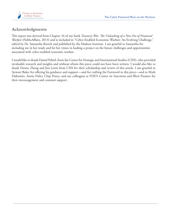

### **Acknowledgments**

This report was derived from Chapter 16 of my book *Treasury's War: The Unleashing of a New Era of Financial Warfare* (PublicAffairs, 2013) and is included in "[Cyber-Enabled Economic Warfare: An Evolving Challenge,](http://https://s3.amazonaws.com/media.hudson.org/files/publications/2015.08CyberEnabledEconomicWarfareAnEvolvingChallenge.pdf)" edited by Dr. Samantha Ravich and published by the Hudson Institute. I am grateful to Samantha for including me in her study and for her vision in leading a project on the future challenges and opportunities associated with cyber-enabled economic warfare.

I would like to thank Daniel Paltiel, from the Center for Strategic and International Studies (CSIS), who provided invaluable research and insights and without whom this piece could not have been written. I would also like to thank Denise Zheng and Jim Lewis from CSIS for their scholarship and review of this article. I am grateful to Stewart Baker for offering his guidance and support—and for crafting the Foreword to this piece—and to Mark Dubowitz, Annie Fixler, Chip Poncy, and my colleagues at FDD's Center on Sanctions and Illicit Finance for their encouragement and constant support.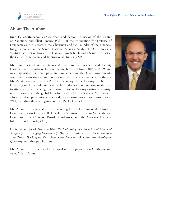

#### **About The Author**

**Juan C. Zarate** serves as Chairman and Senior Counselor of the Center on Sanctions and Illicit Finance (CSIF) at the Foundation for Defense of Democracies. Mr. Zarate is the Chairman and Co-Founder of the Financial Integrity Network, the Senior National Security Analyst for CBS News, a Visiting Lecturer of Law at the Harvard Law School, and a Senior Adviser at the Center for Strategic and International Studies (CSIS).

Mr. Zarate served as the Deputy Assistant to the President and Deputy National Security Advisor for Combating Terrorism from 2005 to 2009, and was responsible for developing and implementing the U.S. Government's counterterrorism strategy and policies related to transnational security threats. Mr. Zarate was the first ever Assistant Secretary of the Treasury for Terrorist Financing and Financial Crimes where he led domestic and international efforts to attack terrorist financing, the innovative use of Treasury's national securityrelated powers, and the global hunt for Saddam Hussein's assets. Mr. Zarate is a former federal prosecutor who served on terrorism prosecution teams prior to 9/11, including the investigation of the USS Cole attack.

Mr. Zarate sits on several boards, including for the Director of the National Counterterrorism Center (NCTC), HSBC's Financial System Vulnerabilities Committee, the Coinbase Board of Advisors, and the Vatican's Financial Information Authority (AIF).

He is the author of *Treasury's War: The Unleashing of a New Era of Financial Warfare* (2013), *Forging Democracy* (1994), and a variety of articles in *The New York Times*, *Washington Post*, *Wall Street Journal*, *LA Times*, *the Washington Quarterly* and other publications.

Mr. Zarate has his own weekly national security program on CBSNews.com called "Flash Points."

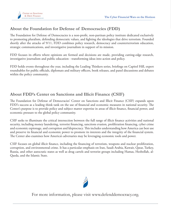

### **About the Foundation for Defense of Democracies (FDD)**

The Foundation for Defense of Democracies is a non-profit, non-partisan policy institute dedicated exclusively to promoting pluralism, defending democratic values, and fighting the ideologies that drive terrorism. Founded shortly after the attacks of 9/11, FDD combines policy research, democracy and counterterrorism education, strategic communications, and investigative journalism in support of its mission.

FDD focuses its efforts where opinions are formed and decisions are made, providing cutting-edge research, investigative journalism and public education - transforming ideas into action and policy.

FDD holds events throughout the year, including the Leading Thinkers series, briefings on Capitol Hill, expert roundtables for public officials, diplomats and military officers, book releases, and panel discussions and debates within the policy community.

#### **About FDD's Center on Sanctions and Illicit Finance (CSIF)**

The Foundation for Defense of Democracies' Center on Sanctions and Illicit Finance (CSIF) expands upon FDD's success as a leading think tank on the use of financial and economic measures in national security. The Center's purpose is to provide policy and subject matter expertise in areas of illicit finance, financial power, and economic pressure to the global policy community.

CSIF seeks to illuminate the critical intersection between the full range of illicit finance activities and national security, including money laundering, terrorist financing, sanctions evasion, proliferation financing, cyber crime and economic espionage, and corruption and kleptocracy. This includes understanding how America can best use and preserve its financial and economic power to promote its interests and the integrity of the financial system. The Center also examines how America's adversaries may be leveraging economic tools and power.

CSIF focuses on global illicit finance, including the financing of terrorism, weapons and nuclear proliferation, corruption, and environmental crime. It has a particular emphasis on Iran, Saudi Arabia, Kuwait, Qatar, Turkey, Russia, and other autocratic states as well as drug cartels and terrorist groups including Hamas, Hezbollah, al-Qaeda, and the Islamic State.



For more information, please visit<www.defenddemocracy.org>.